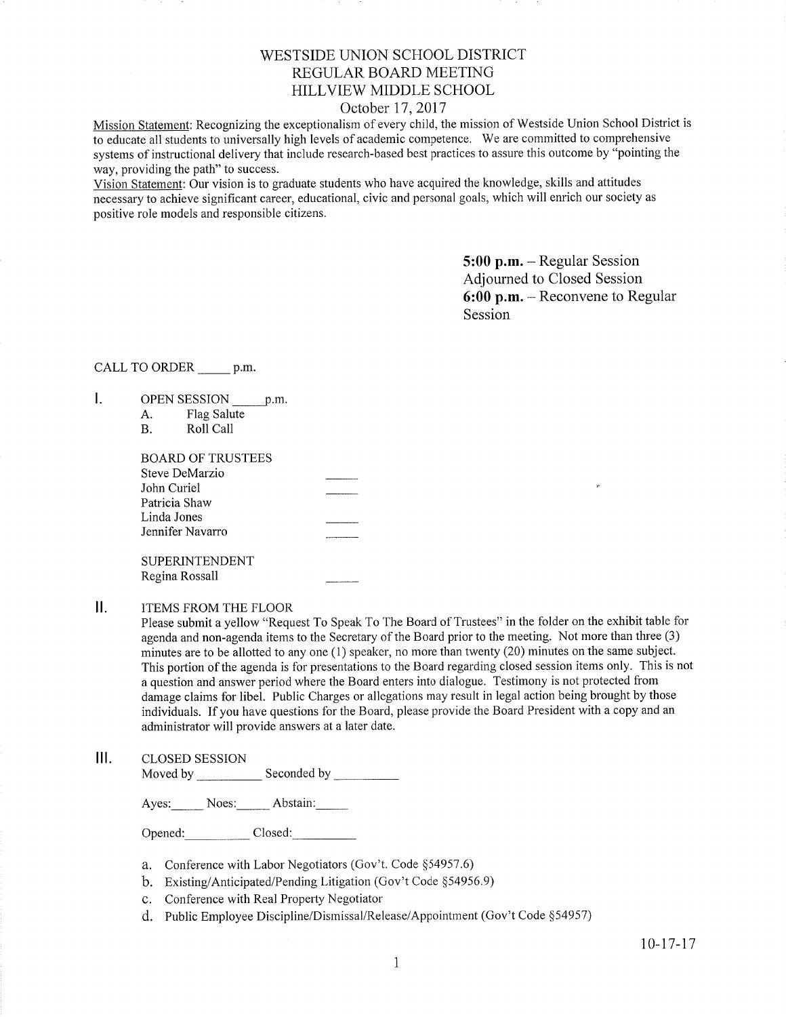## WESTSIDE UNION SCHOOL DISTRICT REGULAR BOARD MEETING HILLVIEW MIDDLE SCHOOL

### October 17, 2017

Mission Statement: Recognizing the exceptionalism of every child, the mission of Westside Union School District is to educate all students to universally high levels of academic competence. We are committed to comprehensive systems of instructional delivery that include research-based best practices to assure this outcome by "pointing the way, providing the path" to success.

Vision Statement: Our vision is to graduate students who have acquired the knowledge, skills and attitudes necessary to achieve significant career, educational, civic and personal goals, which will enrich our society as positive role models and responsible citizens.

> 5:00 p.m. - Regular Session Adjourned to Closed Session 6:00 p.m. - Reconvene to Regular Session

### CALL TO ORDER p.m.

- I. OPEN SESSION p.m.
	- A. Flag Salute<br>B. Roll Call
	-

Regina Rossall

### II. ITEMS FROM THE FLOOR

Please submit a yellow "Request To Speak To The Board of Trustees" in the folder on the exhibit table for agenda and non-agenda items to the Secretary of the Board prior to the meeting. Not more than three (3) minutes are to be allotted to any one (1) speaker, no more than twenty (20) minutes on the same subject. This portion of the agenda is for presentations to the Board regarding closed session items only. This is not a question and answer period where the Board enters into dialogue. Testimony is not protected from damage claims for libel. Public Charges or allegations may result in legal action being brought by those individuals. If you have questions for the Board, please provide the Board President with a copy and an administrator will provide answers at a later date.

 $III.$ CLOSED SESSION Moved by \_\_\_\_\_\_\_\_\_\_\_\_\_\_ Seconded by

Ayes: Noes: Abstain:

Opened: Closed:

- a. Conference with Labor Negotiators (Gov't. Code \$54957.6)
- b. Existing/Anticipated/Pending Litigation (Gov't Code \$54956.9)
- c. Conference with Real Property Negotiator
- d. Public Employee Discipline/Disrnissal/Release/Appointment (Gov't Code \$54957)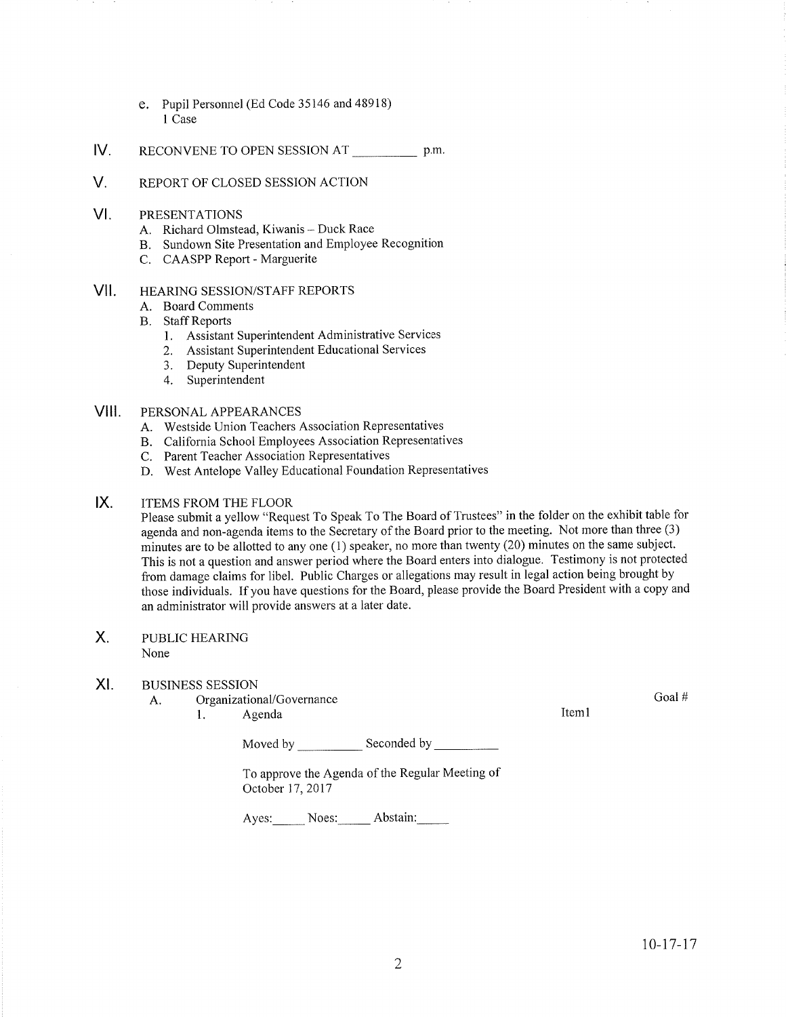- e. Pupil Personnel (Ed Code 35146 and 48918) I Case
- IV. RECONVENE TO OPEN SESSION AT p.m.
- V. REPoRT oF cLosED sESStoN ACTIoN
- VI PRESENTATIONS
	-
	- A. Richard Olmstead, Kiwanis Duck Race<br>B. Sundown Site Presentation and Employee Recognition
	- C. CAASPP Report Marguerite
- vll HEARING SESSION/STAFF REPORTS
	- A. Board Comments
	- **B.** Staff Reports
		- 1. Assistant Superintendent Administrative Services
		- 2. Assistant Superintendent Educational Services
		- 3. Deputy Superintendent
		- 4. Superintendent

#### vill PERSONAL APPEARANCES

- A. Westside Union Teachers Association Representatives
- B. California School Employees Association Representatives
- C. Parent Teacher Association Representatives
- D. West Antelope Valley Educational Foundation Representatives

#### $IX.$ ITEMS FROM THE FLOOR

Please submit a yellow "Request To Speak To The Board of Trustees" in the folder on the exhibit table for agenda and non-agenda items to the Secretary of the Board prior to the meeting. Not more than three (3) minutes are to be allotted to any one (1) speaker, no more than twenty (20) minutes on the same subject. This is not a question and answer period where the Board enters into dialogue. Testimony is not protected from damage claims for libel. Public Charges or allegations may result in legal action being brought by those individuals. If you have questions for the Board, please provide the Board President with a copy and an administrator will provide answers at a later date.

PUBLIC HEARING X.

None

### XI. BUSINESS SESSION

A. Organizational/Governance Goal # Goal # Goal # Goal # Goal # Goal # Goal # Goal # Goal # Goal # Goal # Goal # Goal # Goal # Goal # Goal # Goal # Goal # Goal # Goal # Goal # Goal # Goal # Goal # Goal # Goal # Goal # Goal

Moved by Seconded by Seconded by Seconded by Seconded by Seconded by Seconded by Seconded by Seconded by Seconded by Seconded by Seconded by Seconded by Seconded by Seconded by Seconded by Seconded by Seconded by Seconded

To approve the Agenda of the Regular Meeting of October 17, 2017

Ayes: Noes: Abstain: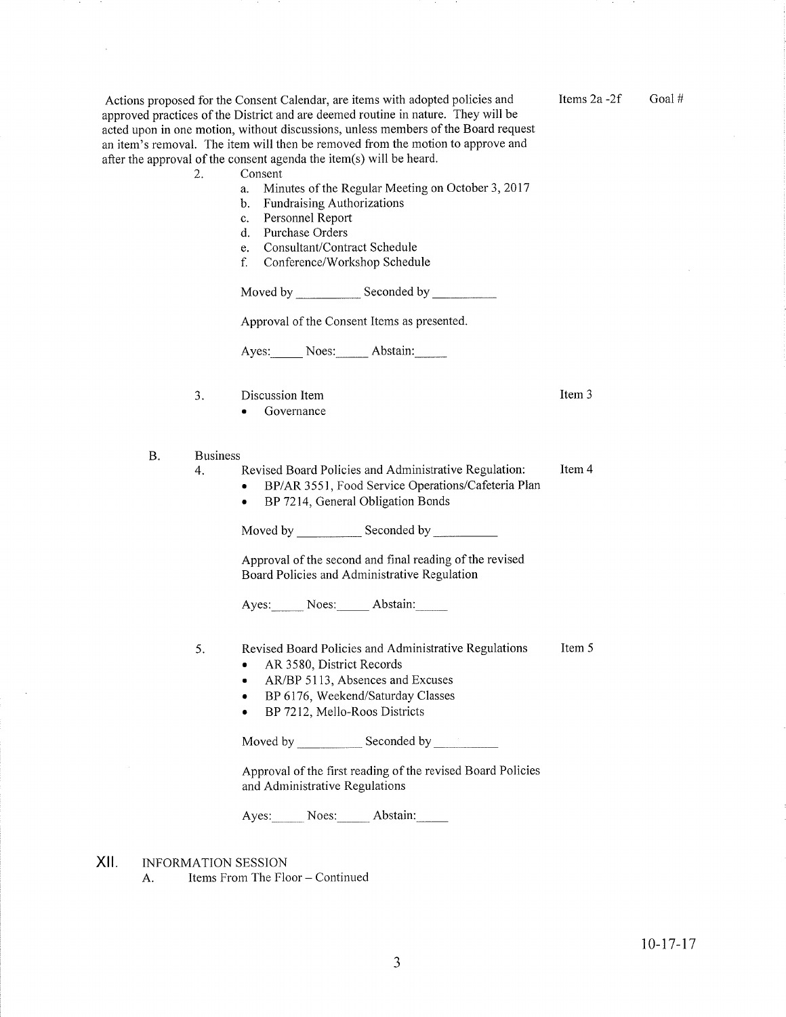Actions proposed for the Consent Calendar, are items with adopted policies and approved practices of the District and are deemed routine in nature. They will be acted upon in one motion, without discussions, unless members of the Board request an item's removal. The item will then be removed from the motion to approve and after the approval of the consent agenda the item(s) will be heard.

- a. Minutes of the Regular Meeting on October 3, 2017
- b. Fundraising Authorizations
- c. Personnel Report
- d. Purchase Orders
- e. Consultant/Contract Schedule
- f. Conference/Workshop Schedule

Moved by \_\_\_\_\_\_\_\_\_\_\_\_\_\_ Seconded by

Approval of the Consent Items as presented.

Ayes: Noes: Abstain:

- J Discussion Item
	- . Governance
- B. Business
	- Item 4 Revised Board Policies and Administrative Regulation: 4
		- . BP/AR 3551, Food Service Operations/Cafeteria Plan
		- BP 7214, General Obligation Bonds

Moved by \_\_\_\_\_\_\_\_\_\_\_\_\_ Seconded by

Approval of the second and final reading of the revised Board Policies and Administrative Regulation

Ayes: Noes: Abstain:

- Item 5 5 Revised Board Policies and Administrative Regulations
	- . AR 3580, District Records
	- AR/BP 5113, Absences and Excuses
	- . BP 6176, Weekend/Saturday Classes
	- BP 7212, Mello-Roos Districts

Moved by \_\_\_\_\_\_\_\_\_\_\_\_\_ Seconded by

Approval of the first reading of the revised Board Policies and Administrative Regulations

Ayes: Noes: Abstain:

- INFORMATION SESSION xil
	- A. Items From The Floor Continued

Items  $2a - 2f$  Goal #

Item 3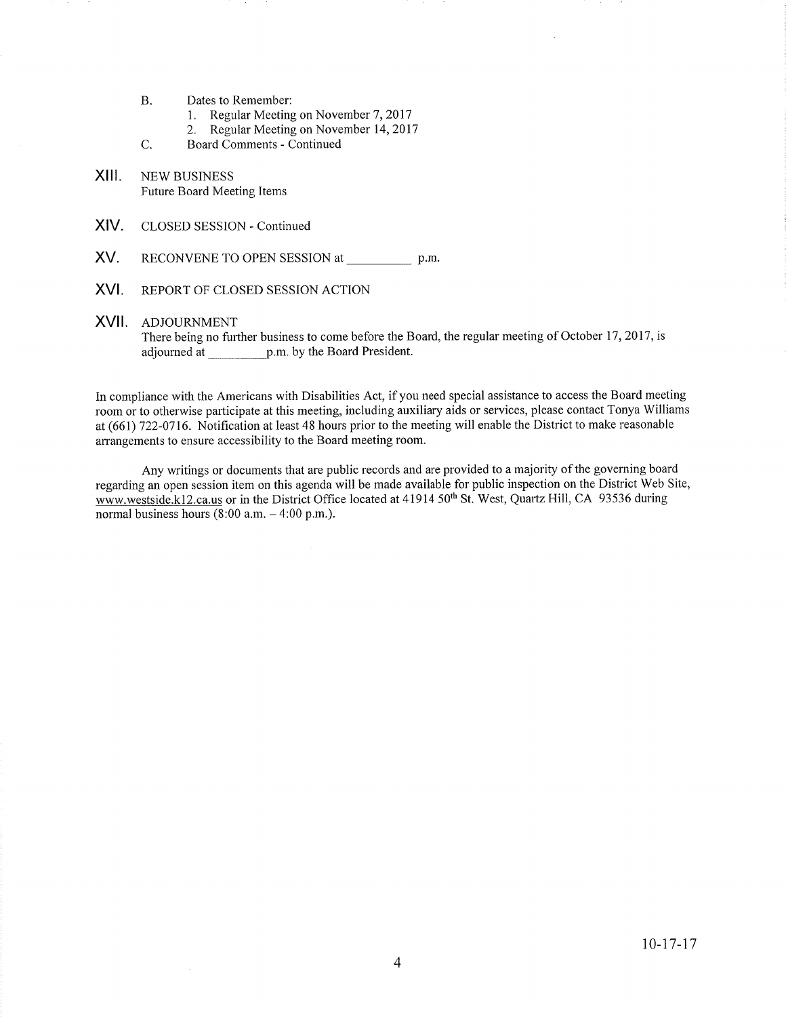- Dates to Remember: B.
	- 1. Regular Meeting on November 7, 2017<br>2. Regular Meeting on November 14, 2017
	-
- Board Comments Continued C.
- NEW BUSINESS Future Board Meeting Items XIII.
- XIV. CLOSED SESSION - Continued
- XV. RECONVENE TO OPEN SESSION at \_\_\_\_\_\_\_\_\_\_\_ p.m.
- XVI. REPORT OF CLOSED SESSION ACTION

#### XVII ADJOURNMENT

There being no further business to come before the Board, the regular meeting of October 17, 2017, is adjourned at \_p.m.by the Board President.

In compliance with the Americans with Disabilities Act, if you need special assistance to access the Board meeting room or to otherwise participate at this meeting, including auxiliary aids or services, please contact Tonya Williams at (661) 722-0116. Notification at least 48 hours prior to the meeting will enable the District to make reasonable arrangements to ensure accessibility to the Board meeting room.

Any writings or documents that are public records and are provided to a majority of the governing board regarding an open session item on this agenda will be made available for public inspection on the District Web Site, www.westside.k12.ca.us or in the District Office located at 41914 50<sup>th</sup> St. West, Quartz Hill, CA 93536 during normal business hours  $(8:00 a.m. - 4:00 p.m.).$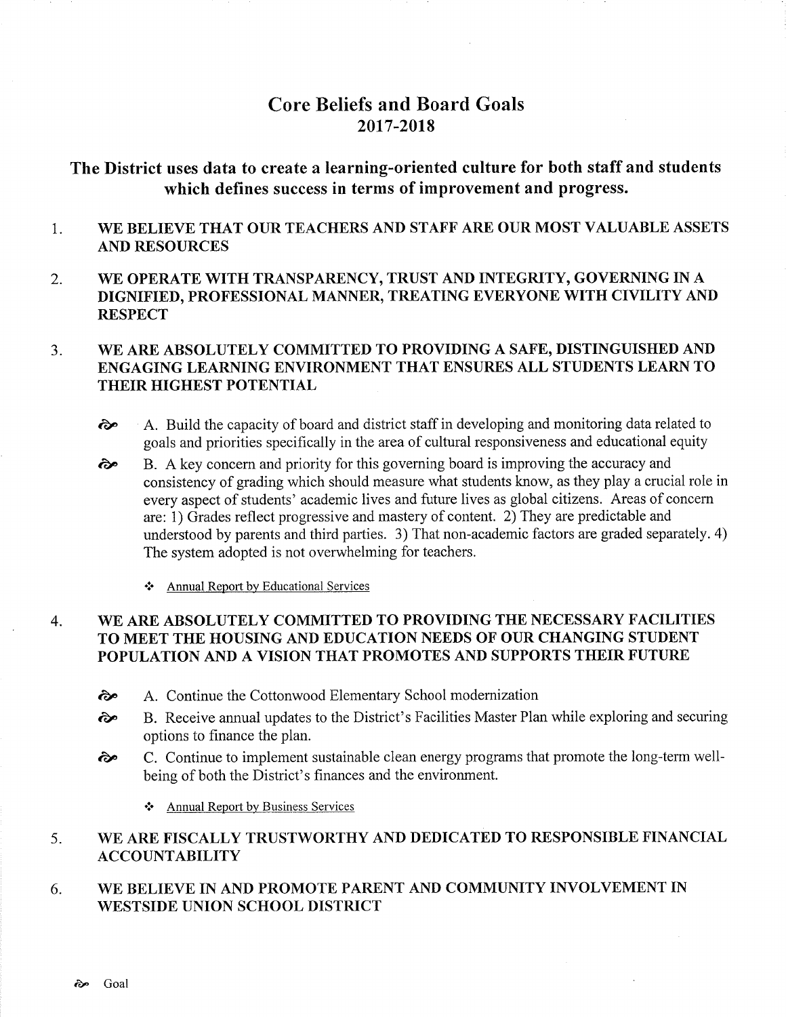# Core Beliefs and Board Goals 2017-2018

# The District uses data to create a learning-oriented culture for both staff and students which defines success in terms of improvement and progress.

- 1 WE BELIEVE THAT OUR TEACHERS AND STAFF ARE OUR MOST VALUABLE ASSETS AND RESOURCES
- 2. WE OPERATE WITH TRANSPARENCY, TRUST AND INTEGRITY, GOVERNING IN A DIGNIFIED, PROFESSIONAL MANNER, TREATING EVERYONE WITH CIVILITY AND **RESPECT**

#### $3.$ WE ARE ABSOLUTELY COMMITTED TO PROVIDING A SAFE, DISTINGUISHED AND ENGAGING LEARNING ENVIRONMENT THAT ENSURES ALL STUDENTS LEARN TO THEIR HIGHEST POTENTIAL

- ôp A. Build the capacity of board and district staff in developing and monitoring data related to goals and priorities specifically in the area of cultural responsiveness and educational equity
- B. A key concem and priority for this governing board is improving the accuracy and consistency of grading which should measure what students know, as they play a crucial role in every aspect of students' academic lives and future lives as global citizens. Areas of concern are: 1) Grades reflect progressive and mastery of content. 2) They are predictable and understood by parents and third parties. 3) That non-academic factors are graded separately. 4) The system adopted is not overwhelming for teachers. ôp
	- \* Annual Report by Educational Services

#### WE ARE ABSOLUTELY COMMITTED TO PROVIDING THE NECESSARY FACILITIES TO MEET THE HOUSING AND EDUCATION NEEDS OF OUR CHANGING STUDENT POPULATION AND A VISION THAT PROMOTES AND SUPPORTS THEIR FUTURE 4

- èp A. Continue the Cottonwood Elementary School modernization
- èe B. Receive annual updates to the District's Facilities Master Plan while exploring and securing options to finance the plan.<br> **E.** C. Continue to implement sustainable clean energy programs that promote the long-term well-
- being of both the District's finances and the environment.
	- ❖ Annual Report by Business Services

#### 5 WE ARE FISCALLY TRUSTWORTHY AND DEDICATED TO RESPONSIBLE FINANCIAL ACCOUNTABILITY

#### 6 WE BELIEVE IN AND PROMOTE PARENT AND COMMUNITY INVOLVEMENT IN WESTSIDE UNION SCHOOL DISTRICT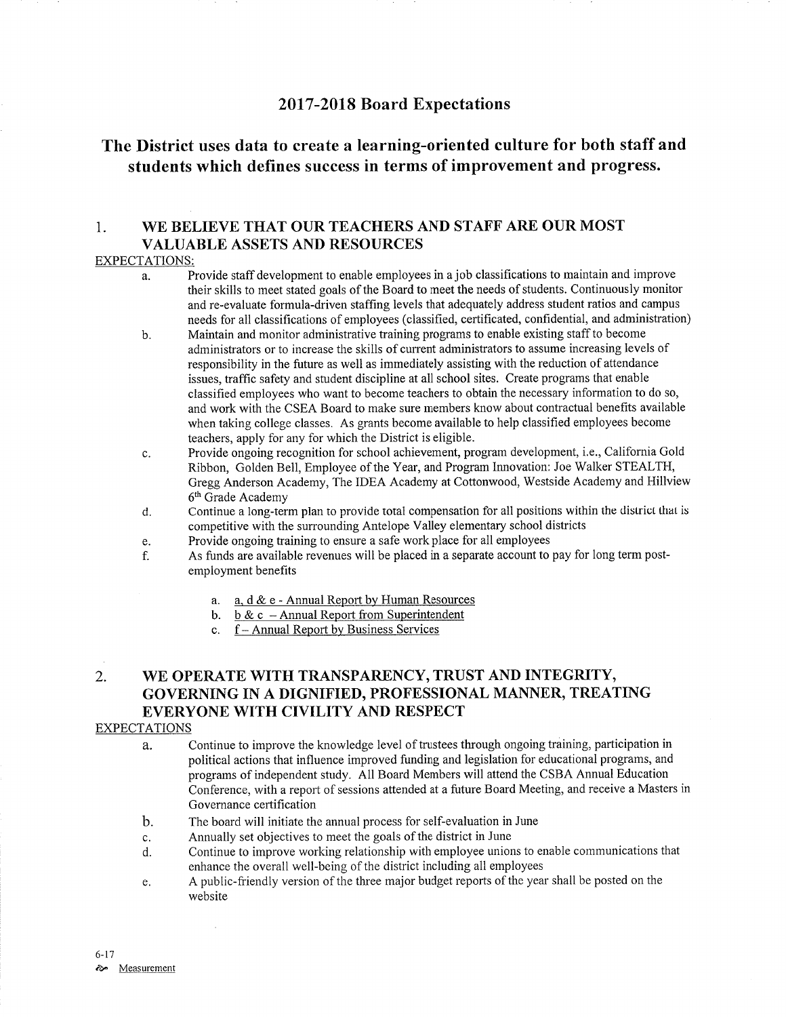# <sup>2017</sup>-2018 Board Expectations

# The District uses data to create a learning-oriented culture for both staff and students which defines success in terms of improvement and progress.

### 1. WE BELIEVE THAT OUR TEACHERS AND STAFF ARE OUR MOST VALUABLE ASSETS AND RESOURCES

### EXPECTATIONS:

- a. Provide staff development to enable employees in a job classifications to maintain and improve their skills to meet stated goals of the Board to meet the needs of students. Continuously monitor and re-evaluate formula-driven staffing levels that adequately address student ratios and campus needs for all classifications of employees (classified, certificated, confidential, and administration)
- b. Maintain and monitor administrative training programs to enable existing staff to become administrators or to increase the skills of current administrators to assume increasing levels of responsibility in the future as well as immediately assisting with the reduction of attendance issues, traffìc safety and student discipline at all school sites. Create programs that enable classified employees who want to become teachers to obtain the necessary information to do so, and work with the CSEA Board to make sure members know about contractual benefits available when taking college classes. As grants become available to help classified employees become teachers, apply for any for which the District is eligible.
- c. Provide ongoing recognition for school achievement, program development, i.e., California Gold Ribbon, Golden Bell, Employee of the Year, and Program Innovation: Joe Walker STEALTH, Gregg Anderson Academy, The IDEA Academy at Cottonwood, Westside Academy and Hillview 6<sup>th</sup> Grade Academy
- d. Continue a long-term plan to provide total compensation for all positions within the district that is competitive with the surrounding Antelope Valley elementary school districts
- 
- e. Provide ongoing training to ensure a safe work place for all employees **holds and a separate account to pay for long term post-**<br>f. As funds are available revenues will be placed in a separate account to pay for long te employment benefits
	- a. <u>a, d & e Annual Report by Human Resources</u>
	- b. b & c Annual Report from Superintenden
	- c. f Annual Report by Business Services

# 2. WE OPERATE WITH TRANSPARENCY, TRUST AND INTEGRITY, GOVERNING IN A DIGNIFIED, PROFESSIONAL MANNER, TREATING EVERYONE WITH CIVILITY AND RESPECT

### EXPECTATIONS

- a. Continue to improve the knowledge level of trustees through ongoing training, participation in political actions that influence improved funding and legislation for educational programs, and programs of independent study. All Board Members will attend the CSBA Annual Education Conference, with a report of sessions attended at a future Board Meeting, and receive a Masters in Governance certification
- b. The board will initiate the annual process for self-evaluation in June
- c. Annually set objectives to meet the goals of the district in June
- d. Continue to improve working relationship with employee unions to enable communications that enhance the overall well-being of the district including all employees
- e. A public-friendly version of the three major budget reports of the year shall be posted on the website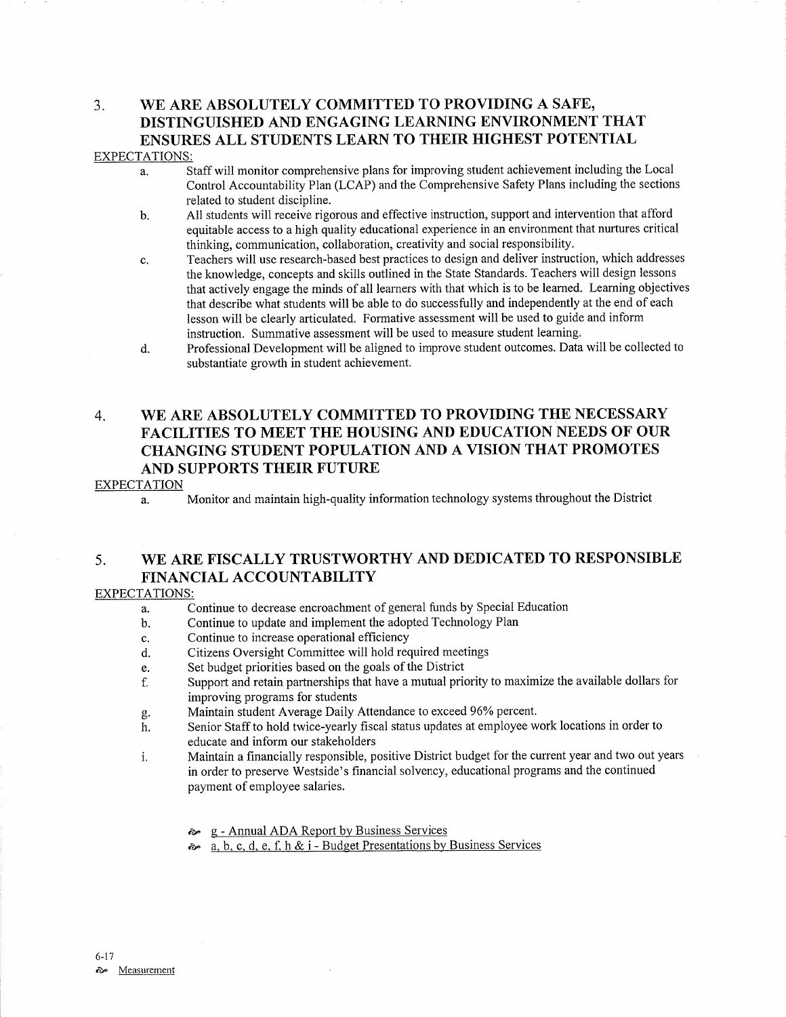### 3. WE ARE ABSOLUTELY COMMITTED TO PROVIDING A SAFE, DISTINGUISHED AND ENGAGING LEARNING ENVIRONMENT THAT ENSURES ALL STUDENTS LEARN TO THEIR HIGHEST POTENTIAL EXPECTATIONS:

- a. Staff will monitor comprehensive plans for improving student achievement including the Local Control Accountability Plan (LCAP) and the Comprehensive Safety Plans including the sections related to student discipline.
- b. All students will receive rigorous and effective instruction, suppoft and intervention that afford equitable access to a high quality educational experience in an environment that nurtures critical thinking, communication, collaboration, creativity and social responsibility.
- c. Teachers will use research-based best practices to design and deliver instruction, which addresses the knowledge, concepts and skills outlined in the State Standards. Teachers will design lessons that actively engage the minds of all leamers with that which is to be learned. Learning objectives that describe what students will be able to do successfully and independently at the end of each Iesson will be clearly articulated. Formative assessment will be used to guide and inform instruction. Summative assessment will be used to measure student learning.
- d. Professional Development will be aligned to improve student outcomes. Data will be collected to substantiate growth in student achievement.

# 4. WE ARE ABSOLUTELY COMMITTED TO PROVIDING THE NECESSARY FACILITIES TO MEET THE HOUSING AND EDUCATION NEEDS OF OUR CHANGING STUDENT POPULATION AND A VISION THAT PROMOTES AND SUPPORTS THEIR FUTURE

### EXPECTATION

a. Monitor and maintain high-quality information technology systems throughout the District

# 5. WE ARE FISCALLY TRUSTWORTHY AND DEDICATED TO RESPONSIBLE FINANCIAL ACCOUNTABILITY

### EXPECTATIONS:

- a. Continue to decrease encroachment of general funds by Special Education
- b. Continue to update and implement the adopted Technology Plan
- c. Continue to increase operational effrciency
- d. Citizens Oversight Committee will hold required meetings
- e. Set budget priorities based on the goals of the District
- f. Support and retain partnerships that have a mutual priority to maximize the available dollars for improving programs for students<br>Maintain student Average Daily Attendance to exceed 96% percent.
- 
- g. Maintain student Average Daily Attendance to exceed 96% percent.<br>h. Senior Staff to hold twice-yearly fiscal status updates at employee work locations in order to educate and inform our stakeholders
- i. Maintain a financially responsible, positive District budget for the current year and two out years in order to preserve Westside's financial solvency, educational programs and the continued payment of employee salaries.
	- **Annual ADA Report by Business Services**
	- ôê a, b. c. d, e, f. h & i Budget Presentations bv Business Services